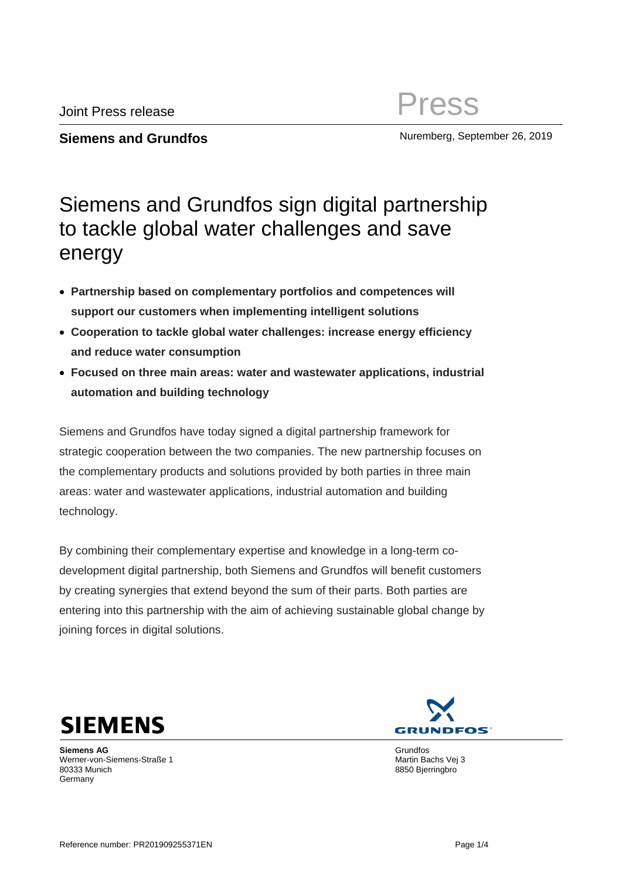**Siemens and Grundfos** Muremberg, September 26, 2019

## Siemens and Grundfos sign digital partnership to tackle global water challenges and save energy

- **Partnership based on complementary portfolios and competences will support our customers when implementing intelligent solutions**
- **Cooperation to tackle global water challenges: increase energy efficiency and reduce water consumption**
- **Focused on three main areas: water and wastewater applications, industrial automation and building technology**

Siemens and Grundfos have today signed a digital partnership framework for strategic cooperation between the two companies. The new partnership focuses on the complementary products and solutions provided by both parties in three main areas: water and wastewater applications, industrial automation and building technology.

By combining their complementary expertise and knowledge in a long-term codevelopment digital partnership, both Siemens and Grundfos will benefit customers by creating synergies that extend beyond the sum of their parts. Both parties are entering into this partnership with the aim of achieving sustainable global change by joining forces in digital solutions.



**Siemens AG** Werner-von-Siemens-Straße 1 80333 Munich Germany

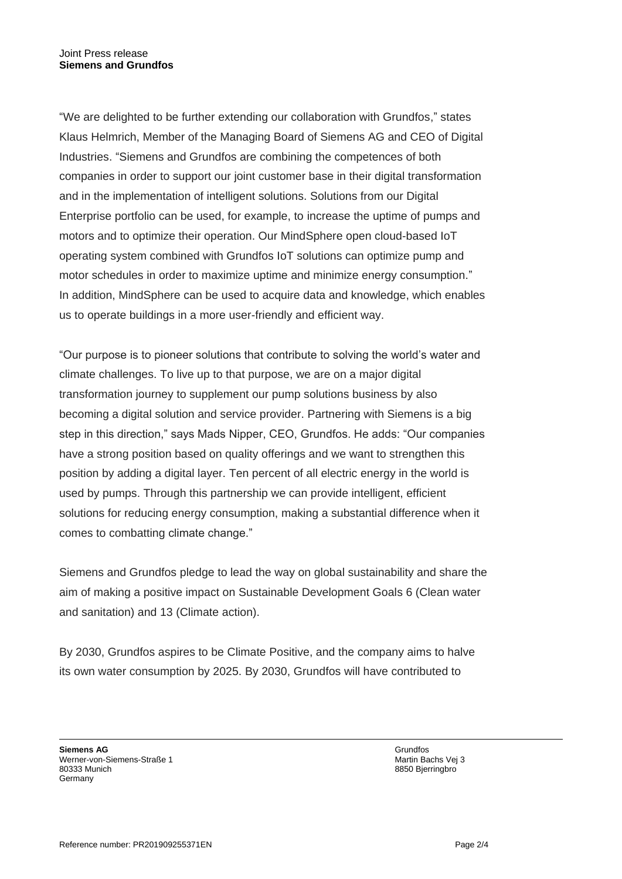"We are delighted to be further extending our collaboration with Grundfos," states Klaus Helmrich, Member of the Managing Board of Siemens AG and CEO of Digital Industries. "Siemens and Grundfos are combining the competences of both companies in order to support our joint customer base in their digital transformation and in the implementation of intelligent solutions. Solutions from our Digital Enterprise portfolio can be used, for example, to increase the uptime of pumps and motors and to optimize their operation. Our MindSphere open cloud-based IoT operating system combined with Grundfos IoT solutions can optimize pump and motor schedules in order to maximize uptime and minimize energy consumption." In addition, MindSphere can be used to acquire data and knowledge, which enables us to operate buildings in a more user-friendly and efficient way.

"Our purpose is to pioneer solutions that contribute to solving the world's water and climate challenges. To live up to that purpose, we are on a major digital transformation journey to supplement our pump solutions business by also becoming a digital solution and service provider. Partnering with Siemens is a big step in this direction," says Mads Nipper, CEO, Grundfos. He adds: "Our companies have a strong position based on quality offerings and we want to strengthen this position by adding a digital layer. Ten percent of all electric energy in the world is used by pumps. Through this partnership we can provide intelligent, efficient solutions for reducing energy consumption, making a substantial difference when it comes to combatting climate change."

Siemens and Grundfos pledge to lead the way on global sustainability and share the aim of making a positive impact on Sustainable Development Goals 6 (Clean water and sanitation) and 13 (Climate action).

By 2030, Grundfos aspires to be Climate Positive, and the company aims to halve its own water consumption by 2025. By 2030, Grundfos will have contributed to

**Siemens AG** Werner-von-Siemens-Straße 1 80333 Munich Germany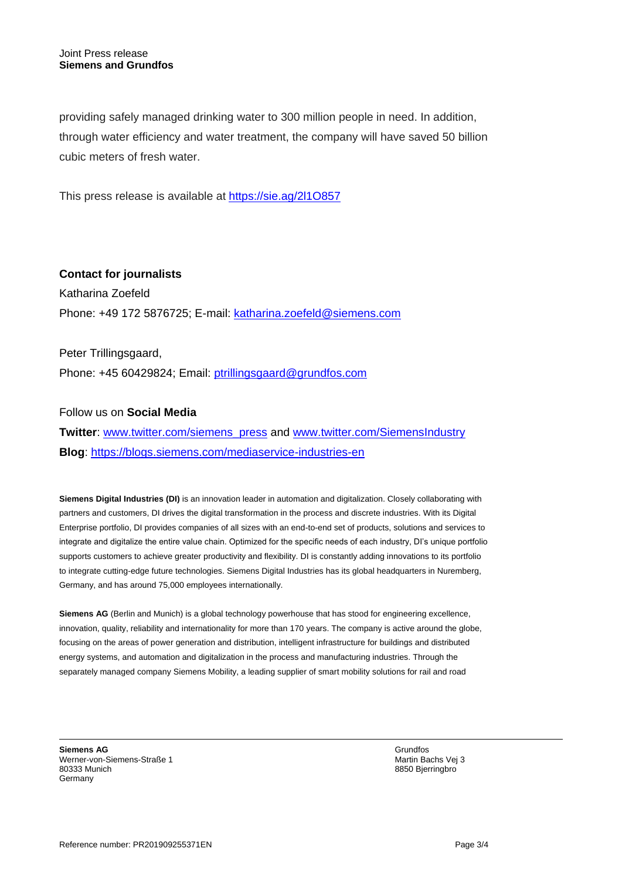providing safely managed drinking water to 300 million people in need. In addition, through water efficiency and water treatment, the company will have saved 50 billion cubic meters of fresh water.

This press release is available at <https://sie.ag/2l1O857>

**Contact for journalists** Katharina Zoefeld Phone: +49 172 5876725; E-mail: [katharina.zoefeld@siemens.com](mailto:katharina.zoefeld@siemens.com)

Peter Trillingsgaard, Phone: +45 60429824; Email: [ptrillingsgaard@grundfos.com](mailto:ptrillingsgaard@grundfos.com)

Follow us on **Social Media**

**Twitter**: [www.twitter.com/siemens\\_press](http://www.twitter.com/siemens_press) and [www.twitter.com/SiemensIndustry](http://www.twitter.com/SiemensIndustry) **Blog**:<https://blogs.siemens.com/mediaservice-industries-en>

**Siemens Digital Industries (DI)** is an innovation leader in automation and digitalization. Closely collaborating with partners and customers. DI drives the digital transformation in the process and discrete industries. With its Digital Enterprise portfolio, DI provides companies of all sizes with an end-to-end set of products, solutions and services to integrate and digitalize the entire value chain. Optimized for the specific needs of each industry, DI's unique portfolio supports customers to achieve greater productivity and flexibility. DI is constantly adding innovations to its portfolio to integrate cutting-edge future technologies. Siemens Digital Industries has its global headquarters in Nuremberg, Germany, and has around 75,000 employees internationally.

**Siemens AG** (Berlin and Munich) is a global technology powerhouse that has stood for engineering excellence, innovation, quality, reliability and internationality for more than 170 years. The company is active around the globe, focusing on the areas of power generation and distribution, intelligent infrastructure for buildings and distributed energy systems, and automation and digitalization in the process and manufacturing industries. Through the separately managed company Siemens Mobility, a leading supplier of smart mobility solutions for rail and road

**Siemens AG** Werner-von-Siemens-Straße 1 80333 Munich Germany